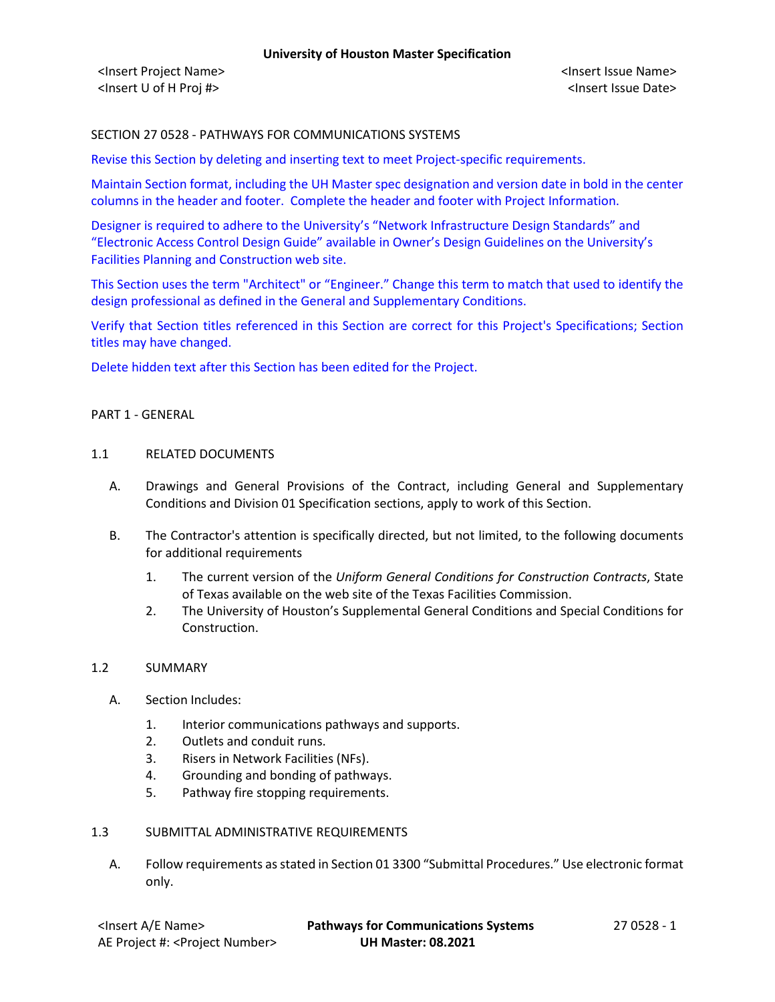# SECTION 27 0528 - PATHWAYS FOR COMMUNICATIONS SYSTEMS

Revise this Section by deleting and inserting text to meet Project-specific requirements.

Maintain Section format, including the UH Master spec designation and version date in bold in the center columns in the header and footer. Complete the header and footer with Project Information.

Designer is required to adhere to the University's "Network Infrastructure Design Standards" and "Electronic Access Control Design Guide" available in Owner's Design Guidelines on the University's Facilities Planning and Construction web site.

This Section uses the term "Architect" or "Engineer." Change this term to match that used to identify the design professional as defined in the General and Supplementary Conditions.

Verify that Section titles referenced in this Section are correct for this Project's Specifications; Section titles may have changed.

Delete hidden text after this Section has been edited for the Project.

#### PART 1 - GENERAL

#### 1.1 RELATED DOCUMENTS

- A. Drawings and General Provisions of the Contract, including General and Supplementary Conditions and Division 01 Specification sections, apply to work of this Section.
- B. The Contractor's attention is specifically directed, but not limited, to the following documents for additional requirements
	- 1. The current version of the *Uniform General Conditions for Construction Contracts*, State of Texas available on the web site of the Texas Facilities Commission.
	- 2. The University of Houston's Supplemental General Conditions and Special Conditions for Construction.

### 1.2 SUMMARY

- A. Section Includes:
	- 1. Interior communications pathways and supports.
	- 2. Outlets and conduit runs.
	- 3. Risers in Network Facilities (NFs).
	- 4. Grounding and bonding of pathways.
	- 5. Pathway fire stopping requirements.

### 1.3 SUBMITTAL ADMINISTRATIVE REQUIREMENTS

A. Follow requirements as stated in Section 01 3300 "Submittal Procedures." Use electronic format only.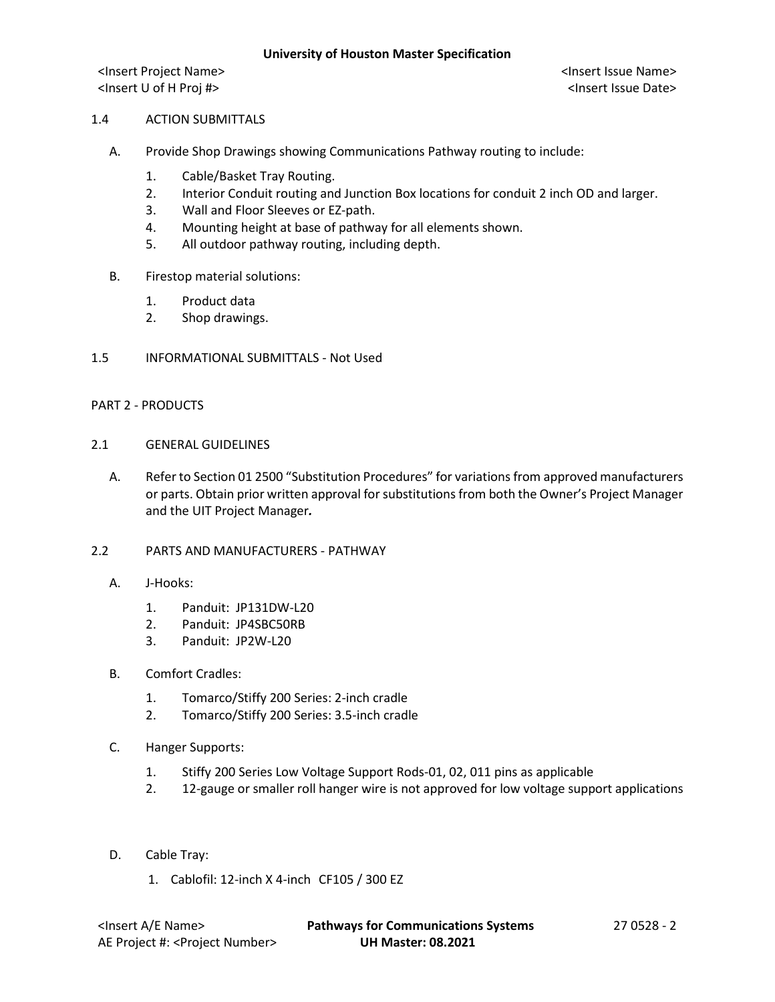<Insert Project Name> <Insert Issue Name> <Insert U of H Proj #> <Insert Issue Date>

## 1.4 ACTION SUBMITTALS

- A. Provide Shop Drawings showing Communications Pathway routing to include:
	- 1. Cable/Basket Tray Routing.
	- 2. Interior Conduit routing and Junction Box locations for conduit 2 inch OD and larger.
	- 3. Wall and Floor Sleeves or EZ-path.
	- 4. Mounting height at base of pathway for all elements shown.
	- 5. All outdoor pathway routing, including depth.
- B. Firestop material solutions:
	- 1. Product data
	- 2. Shop drawings.
- 1.5 INFORMATIONAL SUBMITTALS Not Used

## PART 2 - PRODUCTS

- 2.1 GENERAL GUIDELINES
	- A. Refer to Section 01 2500 "Substitution Procedures" for variations from approved manufacturers or parts. Obtain prior written approval for substitutions from both the Owner's Project Manager and the UIT Project Manager*.*

## 2.2 PARTS AND MANUFACTURERS - PATHWAY

- A. J-Hooks:
	- 1. Panduit: JP131DW-L20
	- 2. Panduit: JP4SBC50RB
	- 3. Panduit: JP2W-L20

### B. Comfort Cradles:

- 1. Tomarco/Stiffy 200 Series: 2-inch cradle
- 2. Tomarco/Stiffy 200 Series: 3.5-inch cradle
- C. Hanger Supports:
	- 1. Stiffy 200 Series Low Voltage Support Rods-01, 02, 011 pins as applicable
	- 2. 12-gauge or smaller roll hanger wire is not approved for low voltage support applications
- D. Cable Tray:
	- 1. Cablofil: 12-inch X 4-inch CF105 / 300 EZ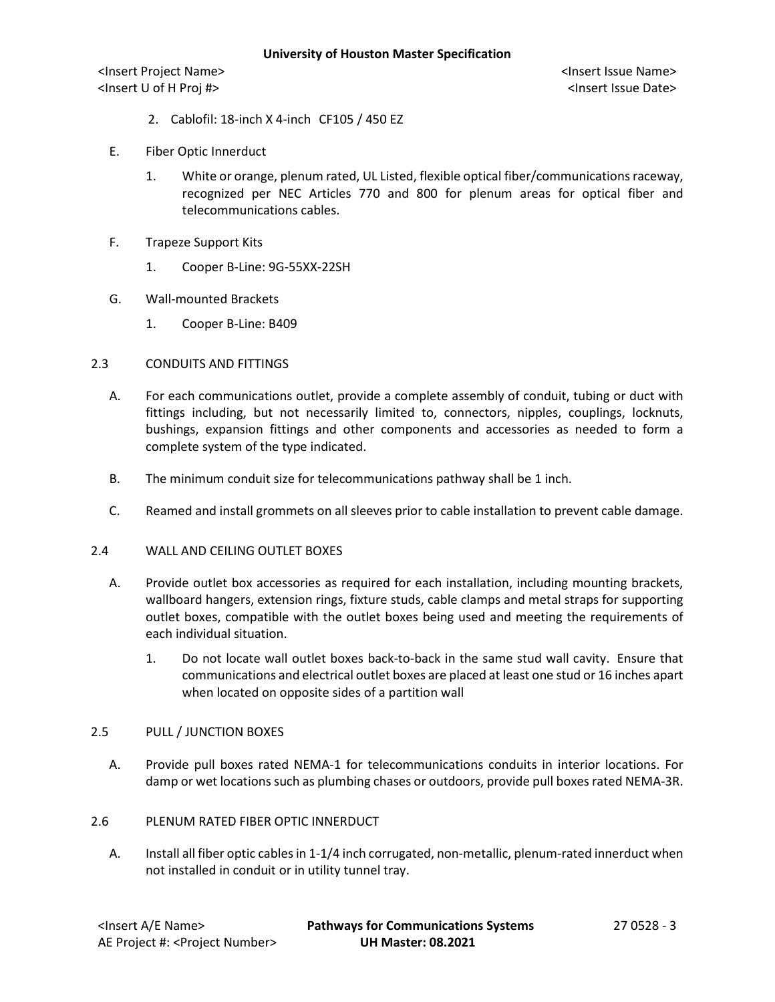<Insert Project Name> <Insert Issue Name> <Insert U of H Proj #> <Insert Issue Date>

- 2. Cablofil: 18-inch X 4-inch CF105 / 450 EZ
- E. Fiber Optic Innerduct
	- 1. White or orange, plenum rated, UL Listed, flexible optical fiber/communicationsraceway, recognized per NEC Articles 770 and 800 for plenum areas for optical fiber and telecommunications cables.
- F. Trapeze Support Kits
	- 1. Cooper B-Line: 9G-55XX-22SH
- G. Wall-mounted Brackets
	- 1. Cooper B-Line: B409
- 2.3 CONDUITS AND FITTINGS
	- A. For each communications outlet, provide a complete assembly of conduit, tubing or duct with fittings including, but not necessarily limited to, connectors, nipples, couplings, locknuts, bushings, expansion fittings and other components and accessories as needed to form a complete system of the type indicated.
	- B. The minimum conduit size for telecommunications pathway shall be 1 inch.
	- C. Reamed and install grommets on all sleeves prior to cable installation to prevent cable damage.
- 2.4 WALL AND CEILING OUTLET BOXES
	- A. Provide outlet box accessories as required for each installation, including mounting brackets, wallboard hangers, extension rings, fixture studs, cable clamps and metal straps for supporting outlet boxes, compatible with the outlet boxes being used and meeting the requirements of each individual situation.
		- 1. Do not locate wall outlet boxes back-to-back in the same stud wall cavity. Ensure that communications and electrical outlet boxes are placed at least one stud or 16 inches apart when located on opposite sides of a partition wall

### 2.5 PULL / JUNCTION BOXES

A. Provide pull boxes rated NEMA-1 for telecommunications conduits in interior locations. For damp or wet locations such as plumbing chases or outdoors, provide pull boxes rated NEMA-3R.

# 2.6 PLENUM RATED FIBER OPTIC INNERDUCT

A. Install all fiber optic cables in 1-1/4 inch corrugated, non-metallic, plenum-rated innerduct when not installed in conduit or in utility tunnel tray.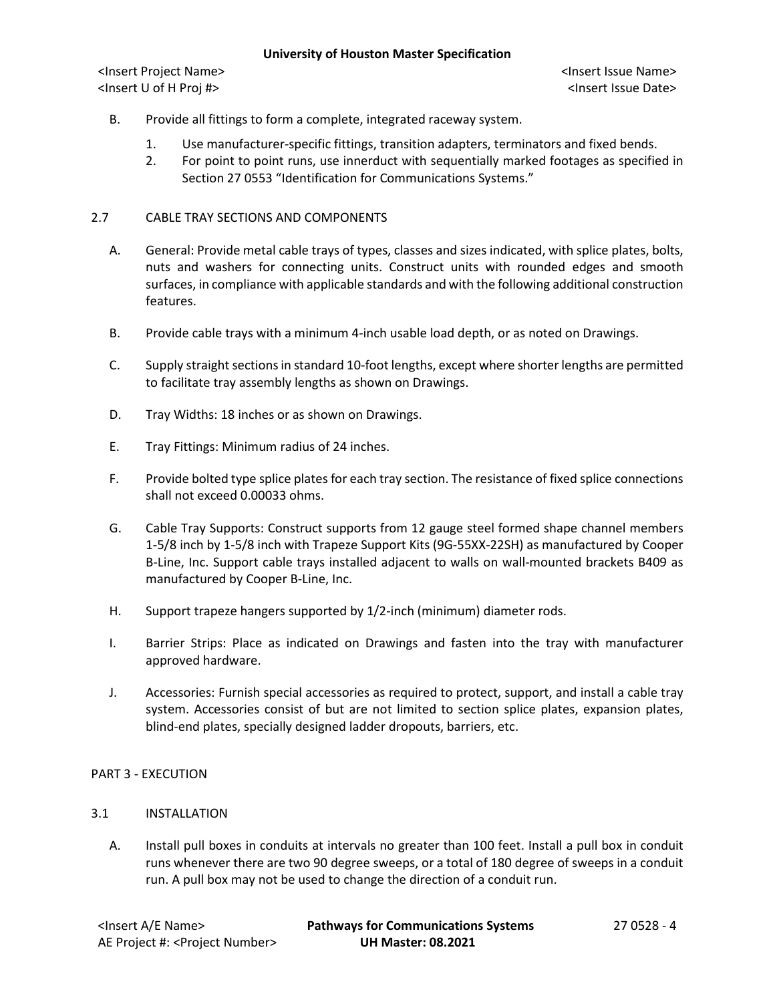<Insert Project Name> <Insert Issue Name> <Insert U of H Proj #> <Insert Issue Date>

- B. Provide all fittings to form a complete, integrated raceway system.
	- 1. Use manufacturer-specific fittings, transition adapters, terminators and fixed bends.
	- 2. For point to point runs, use innerduct with sequentially marked footages as specified in Section 27 0553 "Identification for Communications Systems."

### 2.7 CABLE TRAY SECTIONS AND COMPONENTS

- A. General: Provide metal cable trays of types, classes and sizes indicated, with splice plates, bolts, nuts and washers for connecting units. Construct units with rounded edges and smooth surfaces, in compliance with applicable standards and with the following additional construction features.
- B. Provide cable trays with a minimum 4-inch usable load depth, or as noted on Drawings.
- C. Supply straight sections in standard 10-foot lengths, except where shorter lengths are permitted to facilitate tray assembly lengths as shown on Drawings.
- D. Tray Widths: 18 inches or as shown on Drawings.
- E. Tray Fittings: Minimum radius of 24 inches.
- F. Provide bolted type splice plates for each tray section. The resistance of fixed splice connections shall not exceed 0.00033 ohms.
- G. Cable Tray Supports: Construct supports from 12 gauge steel formed shape channel members 1-5/8 inch by 1-5/8 inch with Trapeze Support Kits (9G-55XX-22SH) as manufactured by Cooper B-Line, Inc. Support cable trays installed adjacent to walls on wall-mounted brackets B409 as manufactured by Cooper B-Line, Inc.
- H. Support trapeze hangers supported by 1/2-inch (minimum) diameter rods.
- I. Barrier Strips: Place as indicated on Drawings and fasten into the tray with manufacturer approved hardware.
- J. Accessories: Furnish special accessories as required to protect, support, and install a cable tray system. Accessories consist of but are not limited to section splice plates, expansion plates, blind-end plates, specially designed ladder dropouts, barriers, etc.

### PART 3 - EXECUTION

# 3.1 INSTALLATION

A. Install pull boxes in conduits at intervals no greater than 100 feet. Install a pull box in conduit runs whenever there are two 90 degree sweeps, or a total of 180 degree of sweeps in a conduit run. A pull box may not be used to change the direction of a conduit run.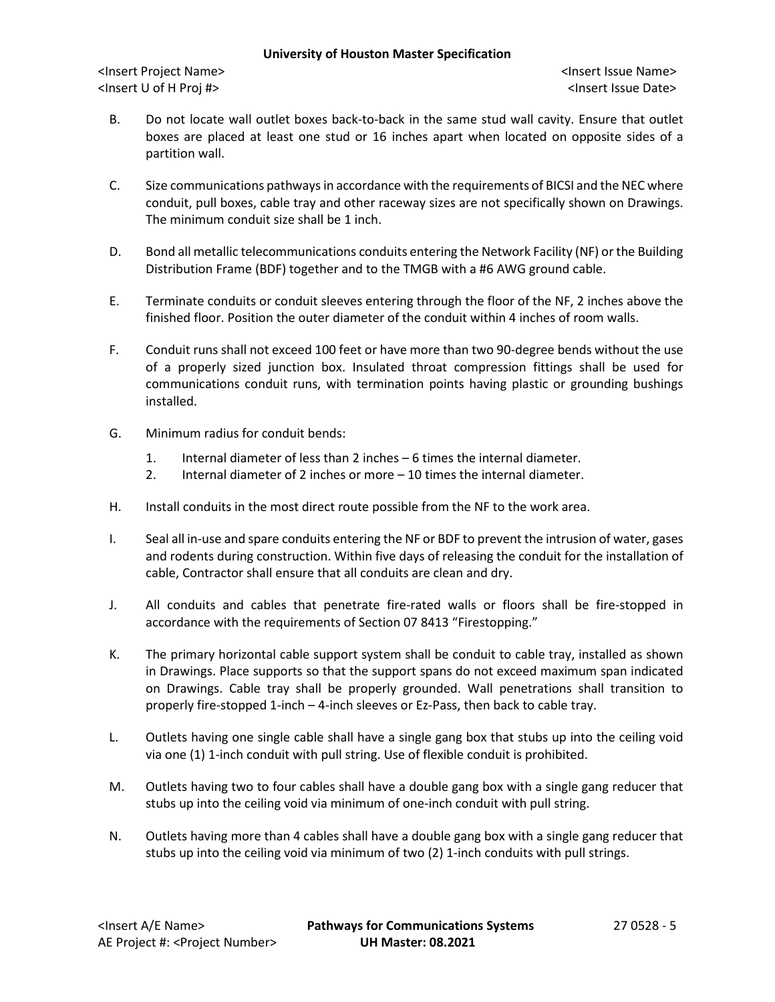## **University of Houston Master Specification**

<Insert Project Name> <Insert Issue Name> <Insert U of H Proj #> <Insert Issue Date>

- B. Do not locate wall outlet boxes back-to-back in the same stud wall cavity. Ensure that outlet boxes are placed at least one stud or 16 inches apart when located on opposite sides of a partition wall.
- C. Size communications pathways in accordance with the requirements of BICSI and the NEC where conduit, pull boxes, cable tray and other raceway sizes are not specifically shown on Drawings. The minimum conduit size shall be 1 inch.
- D. Bond all metallic telecommunications conduits entering the Network Facility (NF) or the Building Distribution Frame (BDF) together and to the TMGB with a #6 AWG ground cable.
- E. Terminate conduits or conduit sleeves entering through the floor of the NF, 2 inches above the finished floor. Position the outer diameter of the conduit within 4 inches of room walls.
- F. Conduit runs shall not exceed 100 feet or have more than two 90-degree bends without the use of a properly sized junction box. Insulated throat compression fittings shall be used for communications conduit runs, with termination points having plastic or grounding bushings installed.
- G. Minimum radius for conduit bends:
	- 1. Internal diameter of less than 2 inches 6 times the internal diameter.
	- 2. Internal diameter of 2 inches or more 10 times the internal diameter.
- H. Install conduits in the most direct route possible from the NF to the work area.
- I. Seal all in-use and spare conduits entering the NF or BDF to prevent the intrusion of water, gases and rodents during construction. Within five days of releasing the conduit for the installation of cable, Contractor shall ensure that all conduits are clean and dry.
- J. All conduits and cables that penetrate fire-rated walls or floors shall be fire-stopped in accordance with the requirements of Section 07 8413 "Firestopping."
- K. The primary horizontal cable support system shall be conduit to cable tray, installed as shown in Drawings. Place supports so that the support spans do not exceed maximum span indicated on Drawings. Cable tray shall be properly grounded. Wall penetrations shall transition to properly fire-stopped 1-inch – 4-inch sleeves or Ez-Pass, then back to cable tray.
- L. Outlets having one single cable shall have a single gang box that stubs up into the ceiling void via one (1) 1-inch conduit with pull string. Use of flexible conduit is prohibited.
- M. Outlets having two to four cables shall have a double gang box with a single gang reducer that stubs up into the ceiling void via minimum of one-inch conduit with pull string.
- N. Outlets having more than 4 cables shall have a double gang box with a single gang reducer that stubs up into the ceiling void via minimum of two (2) 1-inch conduits with pull strings.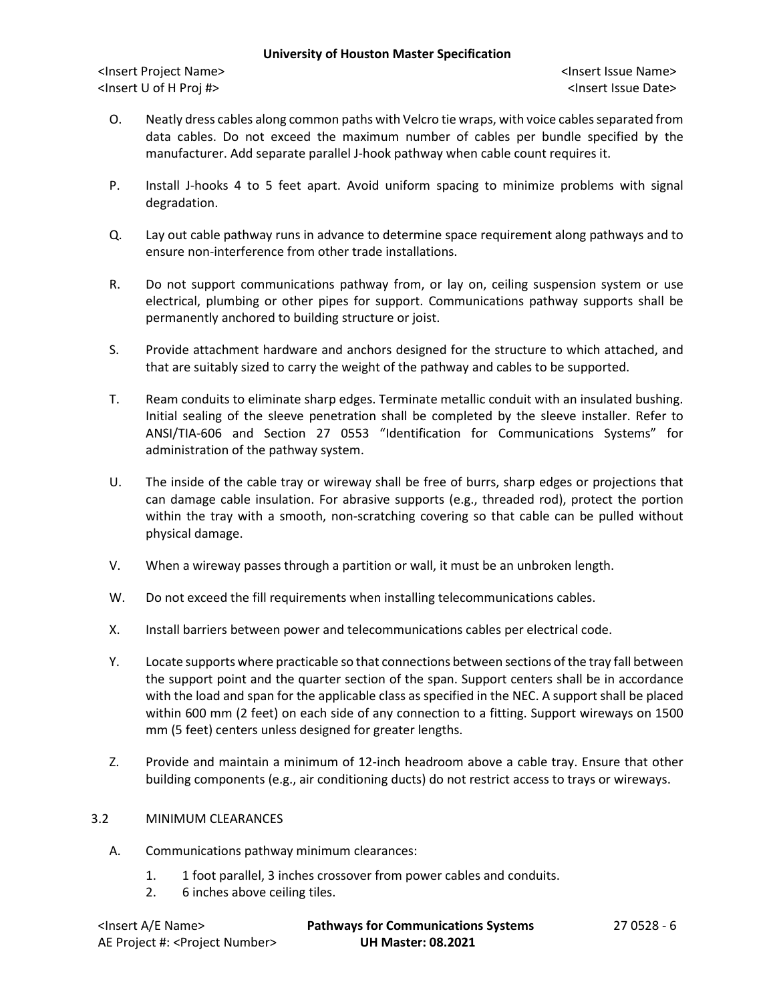### **University of Houston Master Specification**

<Insert Project Name> <Insert Issue Name> <Insert U of H Proj #> <Insert Issue Date>

- O. Neatly dress cables along common paths with Velcro tie wraps, with voice cables separated from data cables. Do not exceed the maximum number of cables per bundle specified by the manufacturer. Add separate parallel J-hook pathway when cable count requires it.
- P. Install J-hooks 4 to 5 feet apart. Avoid uniform spacing to minimize problems with signal degradation.
- Q. Lay out cable pathway runs in advance to determine space requirement along pathways and to ensure non-interference from other trade installations.
- R. Do not support communications pathway from, or lay on, ceiling suspension system or use electrical, plumbing or other pipes for support. Communications pathway supports shall be permanently anchored to building structure or joist.
- S. Provide attachment hardware and anchors designed for the structure to which attached, and that are suitably sized to carry the weight of the pathway and cables to be supported.
- T. Ream conduits to eliminate sharp edges. Terminate metallic conduit with an insulated bushing. Initial sealing of the sleeve penetration shall be completed by the sleeve installer. Refer to ANSI/TIA-606 and Section 27 0553 "Identification for Communications Systems" for administration of the pathway system.
- U. The inside of the cable tray or wireway shall be free of burrs, sharp edges or projections that can damage cable insulation. For abrasive supports (e.g., threaded rod), protect the portion within the tray with a smooth, non-scratching covering so that cable can be pulled without physical damage.
- V. When a wireway passes through a partition or wall, it must be an unbroken length.
- W. Do not exceed the fill requirements when installing telecommunications cables.
- X. Install barriers between power and telecommunications cables per electrical code.
- Y. Locate supports where practicable so that connections between sections of the tray fall between the support point and the quarter section of the span. Support centers shall be in accordance with the load and span for the applicable class as specified in the NEC. A support shall be placed within 600 mm (2 feet) on each side of any connection to a fitting. Support wireways on 1500 mm (5 feet) centers unless designed for greater lengths.
- Z. Provide and maintain a minimum of 12-inch headroom above a cable tray. Ensure that other building components (e.g., air conditioning ducts) do not restrict access to trays or wireways.

# 3.2 MINIMUM CLEARANCES

- A. Communications pathway minimum clearances:
	- 1. 1 foot parallel, 3 inches crossover from power cables and conduits.
	- 2. 6 inches above ceiling tiles.

| <insert a="" e="" name=""></insert>         | <b>Pathways for Communications Systems</b> | 27 0528 - 6 |
|---------------------------------------------|--------------------------------------------|-------------|
| AE Project #: <project number=""></project> | <b>UH Master: 08.2021</b>                  |             |